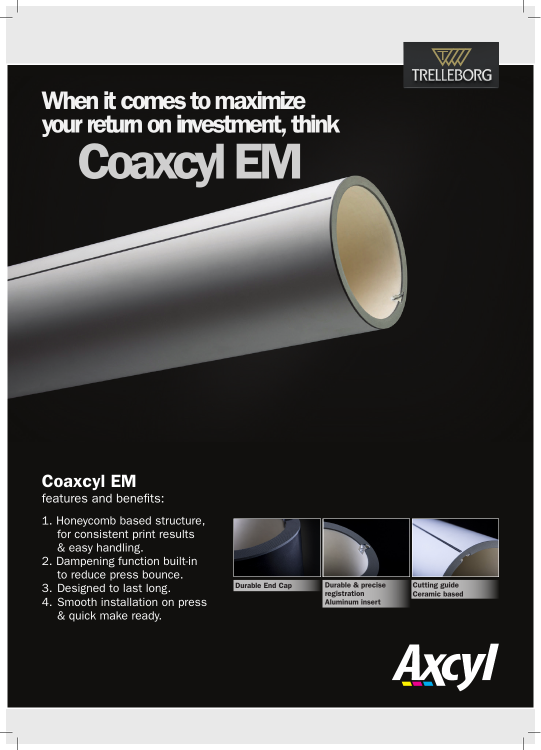

## When it comes to maximize your return on investment, think Coaxcyl EM

## Coaxcyl EM

features and benefits:

- 1. Honeycomb based structure, for consistent print results & easy handling.
- 2. Dampening function built-in to reduce press bounce.
- 3. Designed to last long.
- 4. Smooth installation on press & quick make ready.



Durable End Cap **Durable & precise** 



registration Aluminum insert



Cutting guide Ceramic based